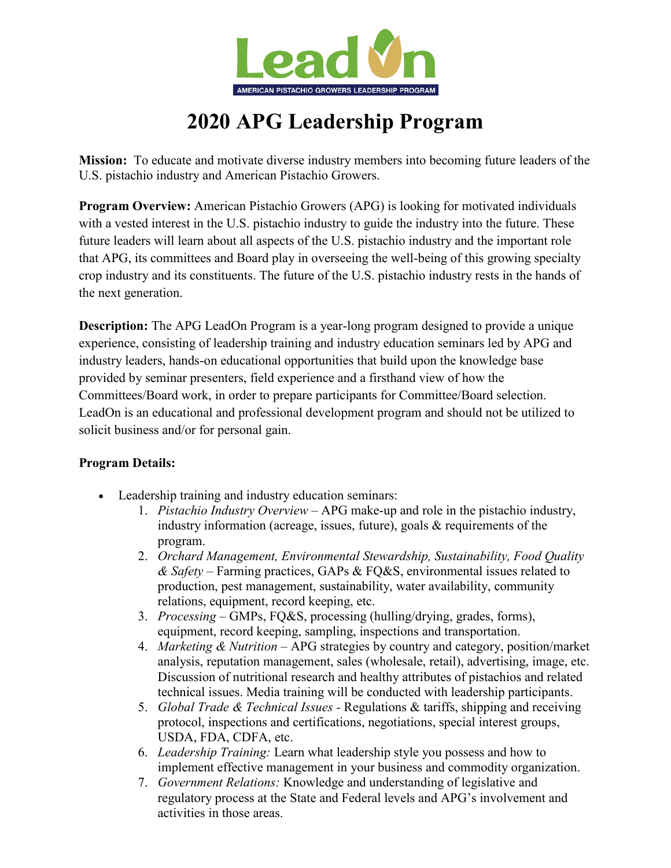

# **2020 APG Leadership Program**

**Mission:** To educate and motivate diverse industry members into becoming future leaders of the U.S. pistachio industry and American Pistachio Growers.

**Program Overview:** American Pistachio Growers (APG) is looking for motivated individuals with a vested interest in the U.S. pistachio industry to guide the industry into the future. These future leaders will learn about all aspects of the U.S. pistachio industry and the important role that APG, its committees and Board play in overseeing the well-being of this growing specialty crop industry and its constituents. The future of the U.S. pistachio industry rests in the hands of the next generation.

**Description:** The APG LeadOn Program is a year-long program designed to provide a unique experience, consisting of leadership training and industry education seminars led by APG and industry leaders, hands-on educational opportunities that build upon the knowledge base provided by seminar presenters, field experience and a firsthand view of how the Committees/Board work, in order to prepare participants for Committee/Board selection. LeadOn is an educational and professional development program and should not be utilized to solicit business and/or for personal gain.

## **Program Details:**

- Leadership training and industry education seminars:
	- 1. *Pistachio Industry Overview* APG make-up and role in the pistachio industry, industry information (acreage, issues, future), goals & requirements of the program.
	- 2. *Orchard Management, Environmental Stewardship, Sustainability, Food Quality & Safety* – Farming practices, GAPs & FQ&S, environmental issues related to production, pest management, sustainability, water availability, community relations, equipment, record keeping, etc.
	- 3. *Processing* GMPs, FQ&S, processing (hulling/drying, grades, forms), equipment, record keeping, sampling, inspections and transportation.
	- 4. *Marketing & Nutrition –* APG strategies by country and category, position/market analysis, reputation management, sales (wholesale, retail), advertising, image, etc. Discussion of nutritional research and healthy attributes of pistachios and related technical issues. Media training will be conducted with leadership participants.
	- 5. *Global Trade & Technical Issues -* Regulations & tariffs, shipping and receiving protocol, inspections and certifications, negotiations, special interest groups, USDA, FDA, CDFA, etc.
	- 6. *Leadership Training:* Learn what leadership style you possess and how to implement effective management in your business and commodity organization.
	- 7. *Government Relations:* Knowledge and understanding of legislative and regulatory process at the State and Federal levels and APG's involvement and activities in those areas.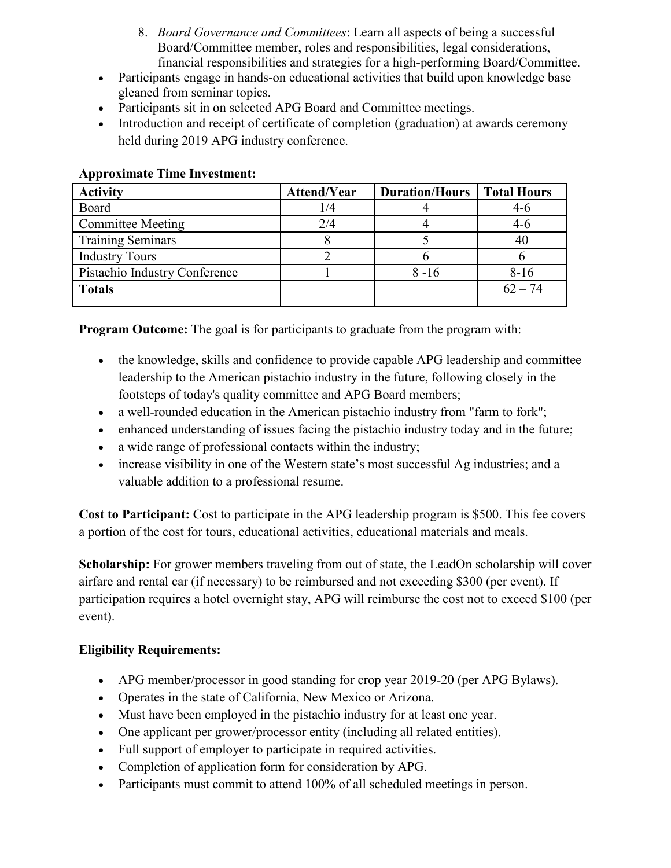- 8. *Board Governance and Committees*: Learn all aspects of being a successful Board/Committee member, roles and responsibilities, legal considerations, financial responsibilities and strategies for a high-performing Board/Committee.
- Participants engage in hands-on educational activities that build upon knowledge base gleaned from seminar topics.
- Participants sit in on selected APG Board and Committee meetings.
- Introduction and receipt of certificate of completion (graduation) at awards ceremony held during 2019 APG industry conference.

| <b>Activity</b>               | Attend/Year | <b>Duration/Hours</b> | <b>Total Hours</b> |
|-------------------------------|-------------|-----------------------|--------------------|
| Board                         | 1/4         |                       | $4-6$              |
| <b>Committee Meeting</b>      | 2/4         |                       | $4-6$              |
| <b>Training Seminars</b>      |             |                       | 40                 |
| <b>Industry Tours</b>         |             |                       |                    |
| Pistachio Industry Conference |             | $8 - 16$              | $8-16$             |
| <b>Totals</b>                 |             |                       | $62 - 74$          |

#### **Approximate Time Investment:**

**Program Outcome:** The goal is for participants to graduate from the program with:

- the knowledge, skills and confidence to provide capable APG leadership and committee leadership to the American pistachio industry in the future, following closely in the footsteps of today's quality committee and APG Board members;
- a well-rounded education in the American pistachio industry from "farm to fork";
- enhanced understanding of issues facing the pistachio industry today and in the future;
- a wide range of professional contacts within the industry;
- increase visibility in one of the Western state's most successful Ag industries; and a valuable addition to a professional resume.

**Cost to Participant:** Cost to participate in the APG leadership program is \$500. This fee covers a portion of the cost for tours, educational activities, educational materials and meals.

**Scholarship:** For grower members traveling from out of state, the LeadOn scholarship will cover airfare and rental car (if necessary) to be reimbursed and not exceeding \$300 (per event). If participation requires a hotel overnight stay, APG will reimburse the cost not to exceed \$100 (per event).

## **Eligibility Requirements:**

- APG member/processor in good standing for crop year 2019-20 (per APG Bylaws).
- Operates in the state of California, New Mexico or Arizona.
- Must have been employed in the pistachio industry for at least one year.
- One applicant per grower/processor entity (including all related entities).
- Full support of employer to participate in required activities.
- Completion of application form for consideration by APG.
- Participants must commit to attend 100% of all scheduled meetings in person.